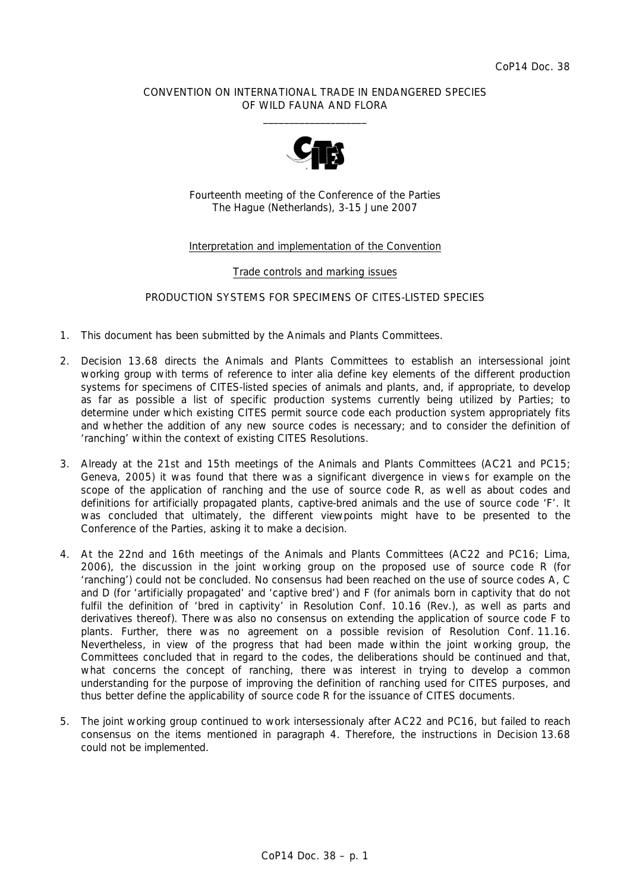#### CONVENTION ON INTERNATIONAL TRADE IN ENDANGERED SPECIES OF WILD FAUNA AND FLORA  $\frac{1}{2}$  , and the set of the set of the set of the set of the set of the set of the set of the set of the set of the set of the set of the set of the set of the set of the set of the set of the set of the set of the set



Fourteenth meeting of the Conference of the Parties The Hague (Netherlands), 3-15 June 2007

### Interpretation and implementation of the Convention

#### Trade controls and marking issues

#### PRODUCTION SYSTEMS FOR SPECIMENS OF CITES-LISTED SPECIES

- 1. This document has been submitted by the Animals and Plants Committees.
- 2. Decision 13.68 directs the Animals and Plants Committees to establish an intersessional joint working group with terms of reference to *inter alia* define key elements of the different production systems for specimens of CITES-listed species of animals and plants, and, if appropriate, to develop as far as possible a list of specific production systems currently being utilized by Parties; to determine under which existing CITES permit source code each production system appropriately fits and whether the addition of any new source codes is necessary; and to consider the definition of 'ranching' within the context of existing CITES Resolutions.
- 3. Already at the 21st and 15th meetings of the Animals and Plants Committees (AC21 and PC15; Geneva, 2005) it was found that there was a significant divergence in views for example on the scope of the application of ranching and the use of source code R, as well as about codes and definitions for artificially propagated plants, captive-bred animals and the use of source code 'F'. It was concluded that ultimately, the different viewpoints might have to be presented to the Conference of the Parties, asking it to make a decision.
- 4. At the 22nd and 16th meetings of the Animals and Plants Committees (AC22 and PC16; Lima, 2006), the discussion in the joint working group on the proposed use of source code R (for 'ranching') could not be concluded. No consensus had been reached on the use of source codes A, C and D (for 'artificially propagated' and 'captive bred') and F (for animals born in captivity that do not fulfil the definition of 'bred in captivity' in Resolution Conf. 10.16 (Rev.), as well as parts and derivatives thereof). There was also no consensus on extending the application of source code F to plants. Further, there was no agreement on a possible revision of Resolution Conf. 11.16. Nevertheless, in view of the progress that had been made within the joint working group, the Committees concluded that in regard to the codes, the deliberations should be continued and that, what concerns the concept of ranching, there was interest in trying to develop a common understanding for the purpose of improving the definition of ranching used for CITES purposes, and thus better define the applicability of source code R for the issuance of CITES documents.
- 5. The joint working group continued to work intersessionaly after AC22 and PC16, but failed to reach consensus on the items mentioned in paragraph 4. Therefore, the instructions in Decision 13.68 could not be implemented.